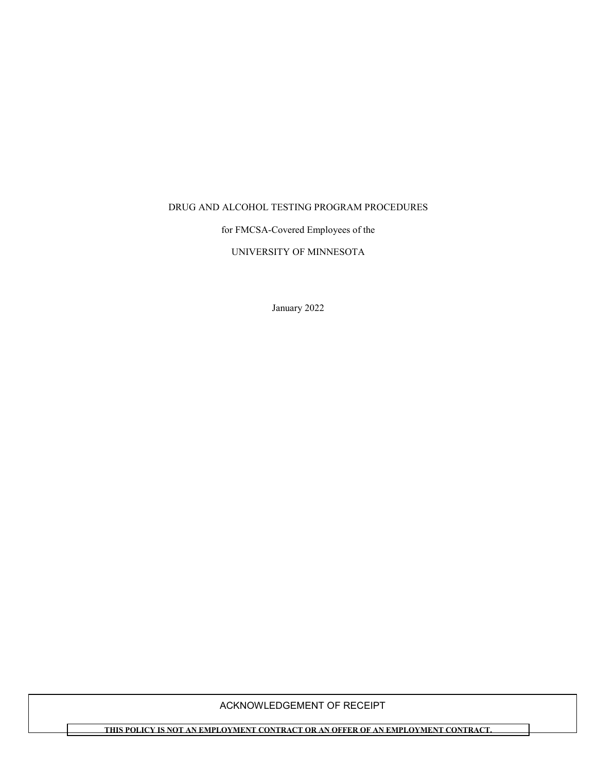#### DRUG AND ALCOHOL TESTING PROGRAM PROCEDURES

for FMCSA-Covered Employees of the

UNIVERSITY OF MINNESOTA

January 2022

### ACKNOWLEDGEMENT OF RECEIPT

**THIS POLICY IS NOT AN EMPLOYMENT CONTRACT OR AN OFFER OF AN EMPLOYMENT CONTRACT.**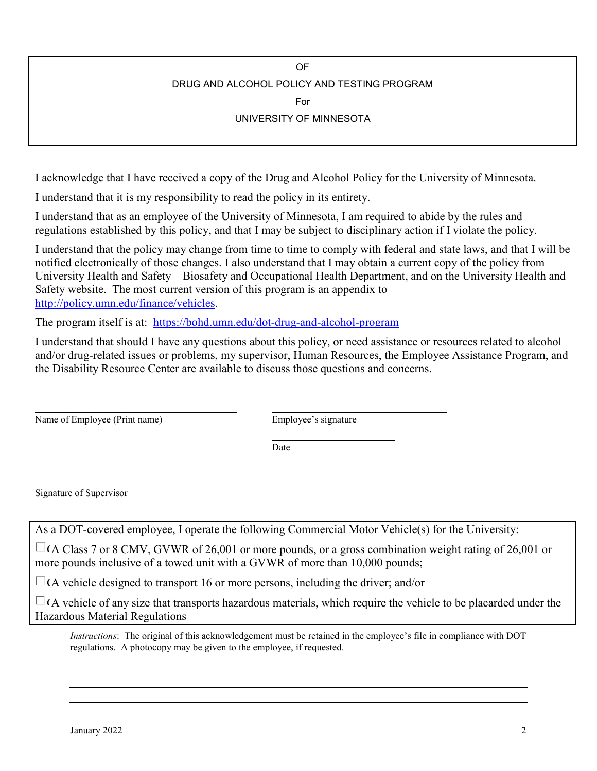OF

# DRUG AND ALCOHOL POLICY AND TESTING PROGRAM

For

## UNIVERSITY OF MINNESOTA

I acknowledge that I have received a copy of the Drug and Alcohol Policy for the University of Minnesota.

I understand that it is my responsibility to read the policy in its entirety.

I understand that as an employee of the University of Minnesota, I am required to abide by the rules and regulations established by this policy, and that I may be subject to disciplinary action if I violate the policy.

I understand that the policy may change from time to time to comply with federal and state laws, and that I will be notified electronically of those changes. I also understand that I may obtain a current copy of the policy from University Health and Safety—Biosafety and Occupational Health Department, and on the University Health and Safety website. The most current version of this program is an appendix to [http://policy.umn.edu/finance/vehicles.](http://policy.umn.edu/finance/vehicles)

The program itself is at: <https://bohd.umn.edu/dot-drug-and-alcohol-program>

I understand that should I have any questions about this policy, or need assistance or resources related to alcohol and/or drug-related issues or problems, my supervisor, Human Resources, the Employee Assistance Program, and the Disability Resource Center are available to discuss those questions and concerns.

| Name of Employee (Print name) |  |
|-------------------------------|--|
|-------------------------------|--|

Employee's signature

Date

Signature of Supervisor

As a DOT-covered employee, I operate the following Commercial Motor Vehicle(s) for the University:

 $\Box$  (A Class 7 or 8 CMV, GVWR of 26,001 or more pounds, or a gross combination weight rating of 26,001 or more pounds inclusive of a towed unit with a GVWR of more than 10,000 pounds;

 $\Box$  (A vehicle designed to transport 16 or more persons, including the driver; and/or

 $\Box$  (A vehicle of any size that transports hazardous materials, which require the vehicle to be placarded under the Hazardous Material Regulations

*Instructions*: The original of this acknowledgement must be retained in the employee's file in compliance with DOT regulations. A photocopy may be given to the employee, if requested.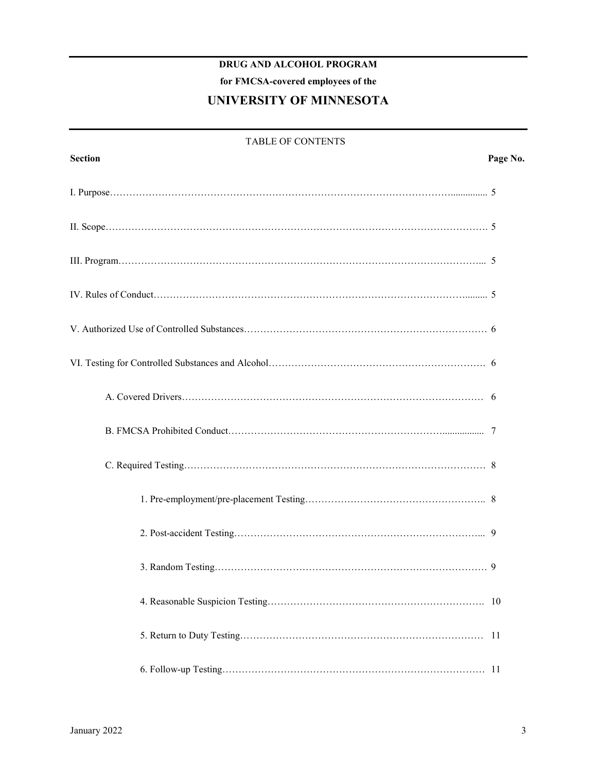## **DRUG AND ALCOHOL PROGRAM**

**for FMCSA-covered employees of the**

## **UNIVERSITY OF MINNESOTA**

| <b>TABLE OF CONTENTS</b> |          |  |
|--------------------------|----------|--|
| <b>Section</b>           | Page No. |  |
|                          |          |  |
|                          |          |  |
|                          |          |  |
|                          |          |  |
|                          |          |  |
|                          |          |  |
|                          |          |  |
|                          |          |  |
|                          |          |  |
|                          |          |  |
|                          |          |  |
|                          |          |  |
|                          |          |  |
|                          |          |  |
|                          |          |  |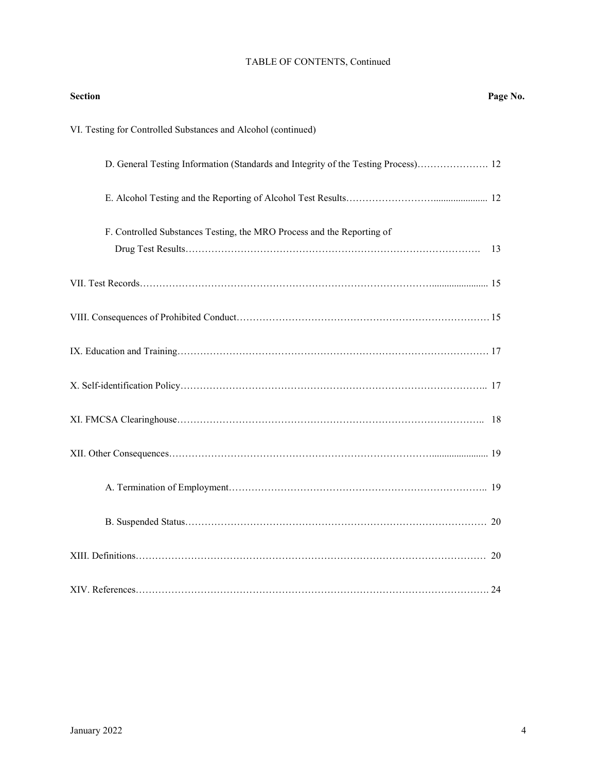## TABLE OF CONTENTS, Continued

| <b>Section</b>                                                                     | Page No. |
|------------------------------------------------------------------------------------|----------|
| VI. Testing for Controlled Substances and Alcohol (continued)                      |          |
| D. General Testing Information (Standards and Integrity of the Testing Process) 12 |          |
|                                                                                    |          |
| F. Controlled Substances Testing, the MRO Process and the Reporting of             | 13       |
|                                                                                    |          |
|                                                                                    |          |
|                                                                                    |          |
|                                                                                    |          |
|                                                                                    |          |
|                                                                                    |          |
|                                                                                    |          |
|                                                                                    |          |
|                                                                                    |          |
|                                                                                    |          |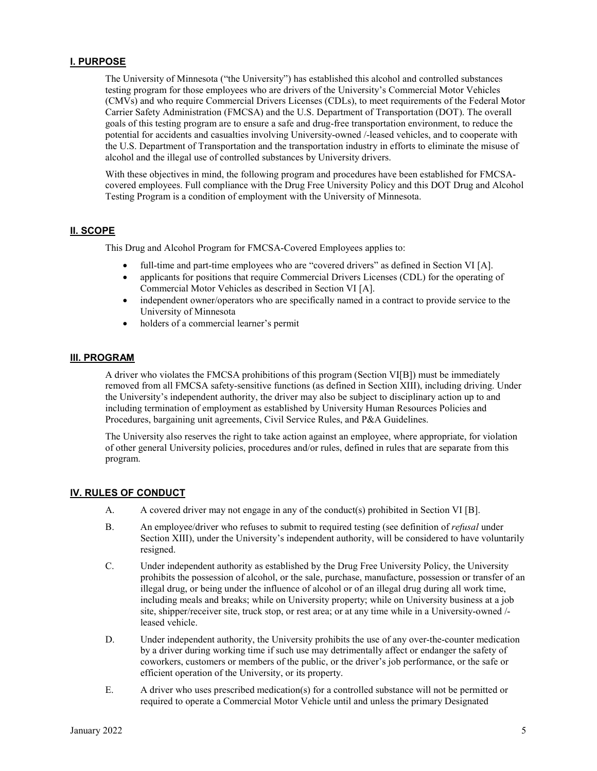#### **I. PURPOSE**

The University of Minnesota ("the University") has established this alcohol and controlled substances testing program for those employees who are drivers of the University's Commercial Motor Vehicles (CMVs) and who require Commercial Drivers Licenses (CDLs), to meet requirements of the Federal Motor Carrier Safety Administration (FMCSA) and the U.S. Department of Transportation (DOT). The overall goals of this testing program are to ensure a safe and drug-free transportation environment, to reduce the potential for accidents and casualties involving University-owned /-leased vehicles, and to cooperate with the U.S. Department of Transportation and the transportation industry in efforts to eliminate the misuse of alcohol and the illegal use of controlled substances by University drivers.

With these objectives in mind, the following program and procedures have been established for FMCSAcovered employees. Full compliance with the Drug Free University Policy and this DOT Drug and Alcohol Testing Program is a condition of employment with the University of Minnesota.

#### **II. SCOPE**

This Drug and Alcohol Program for FMCSA-Covered Employees applies to:

- full-time and part-time employees who are "covered drivers" as defined in Section VI [A].
- applicants for positions that require Commercial Drivers Licenses (CDL) for the operating of Commercial Motor Vehicles as described in Section VI [A].
- independent owner/operators who are specifically named in a contract to provide service to the University of Minnesota
- holders of a commercial learner's permit

#### **III. PROGRAM**

A driver who violates the FMCSA prohibitions of this program (Section VI[B]) must be immediately removed from all FMCSA safety-sensitive functions (as defined in Section XIII), including driving. Under the University's independent authority, the driver may also be subject to disciplinary action up to and including termination of employment as established by University Human Resources Policies and Procedures, bargaining unit agreements, Civil Service Rules, and P&A Guidelines.

The University also reserves the right to take action against an employee, where appropriate, for violation of other general University policies, procedures and/or rules, defined in rules that are separate from this program.

#### **IV. RULES OF CONDUCT**

- A. A covered driver may not engage in any of the conduct(s) prohibited in Section VI [B].
- B. An employee/driver who refuses to submit to required testing (see definition of *refusal* under Section XIII), under the University's independent authority, will be considered to have voluntarily resigned.
- C. Under independent authority as established by the Drug Free University Policy, the University prohibits the possession of alcohol, or the sale, purchase, manufacture, possession or transfer of an illegal drug, or being under the influence of alcohol or of an illegal drug during all work time, including meals and breaks; while on University property; while on University business at a job site, shipper/receiver site, truck stop, or rest area; or at any time while in a University-owned / leased vehicle.
- D. Under independent authority, the University prohibits the use of any over-the-counter medication by a driver during working time if such use may detrimentally affect or endanger the safety of coworkers, customers or members of the public, or the driver's job performance, or the safe or efficient operation of the University, or its property.
- E. A driver who uses prescribed medication(s) for a controlled substance will not be permitted or required to operate a Commercial Motor Vehicle until and unless the primary Designated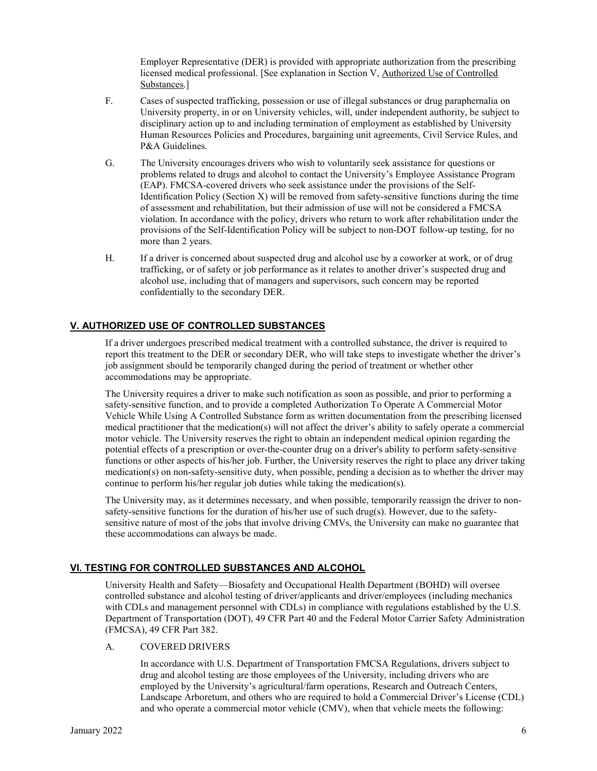Employer Representative (DER) is provided with appropriate authorization from the prescribing licensed medical professional. [See explanation in Section V, Authorized Use of Controlled Substances.]

- F. Cases of suspected trafficking, possession or use of illegal substances or drug paraphernalia on University property, in or on University vehicles, will, under independent authority, be subject to disciplinary action up to and including termination of employment as established by University Human Resources Policies and Procedures, bargaining unit agreements, Civil Service Rules, and P&A Guidelines.
- G. The University encourages drivers who wish to voluntarily seek assistance for questions or problems related to drugs and alcohol to contact the University's Employee Assistance Program (EAP). FMCSA-covered drivers who seek assistance under the provisions of the Self-Identification Policy (Section X) will be removed from safety-sensitive functions during the time of assessment and rehabilitation, but their admission of use will not be considered a FMCSA violation. In accordance with the policy, drivers who return to work after rehabilitation under the provisions of the Self-Identification Policy will be subject to non-DOT follow-up testing, for no more than 2 years.
- H. If a driver is concerned about suspected drug and alcohol use by a coworker at work, or of drug trafficking, or of safety or job performance as it relates to another driver's suspected drug and alcohol use, including that of managers and supervisors, such concern may be reported confidentially to the secondary DER.

### **V. AUTHORIZED USE OF CONTROLLED SUBSTANCES**

If a driver undergoes prescribed medical treatment with a controlled substance, the driver is required to report this treatment to the DER or secondary DER, who will take steps to investigate whether the driver's job assignment should be temporarily changed during the period of treatment or whether other accommodations may be appropriate.

The University requires a driver to make such notification as soon as possible, and prior to performing a safety-sensitive function, and to provide a completed Authorization To Operate A Commercial Motor Vehicle While Using A Controlled Substance form as written documentation from the prescribing licensed medical practitioner that the medication(s) will not affect the driver's ability to safely operate a commercial motor vehicle. The University reserves the right to obtain an independent medical opinion regarding the potential effects of a prescription or over-the-counter drug on a driver's ability to perform safety-sensitive functions or other aspects of his/her job. Further, the University reserves the right to place any driver taking medication(s) on non-safety-sensitive duty, when possible, pending a decision as to whether the driver may continue to perform his/her regular job duties while taking the medication(s).

The University may, as it determines necessary, and when possible, temporarily reassign the driver to nonsafety-sensitive functions for the duration of his/her use of such drug(s). However, due to the safetysensitive nature of most of the jobs that involve driving CMVs, the University can make no guarantee that these accommodations can always be made.

#### **VI. TESTING FOR CONTROLLED SUBSTANCES AND ALCOHOL**

University Health and Safety—Biosafety and Occupational Health Department (BOHD) will oversee controlled substance and alcohol testing of driver/applicants and driver/employees (including mechanics with CDLs and management personnel with CDLs) in compliance with regulations established by the U.S. Department of Transportation (DOT), 49 CFR Part 40 and the Federal Motor Carrier Safety Administration (FMCSA), 49 CFR Part 382.

#### A. COVERED DRIVERS

In accordance with U.S. Department of Transportation FMCSA Regulations, drivers subject to drug and alcohol testing are those employees of the University, including drivers who are employed by the University's agricultural/farm operations, Research and Outreach Centers, Landscape Arboretum, and others who are required to hold a Commercial Driver's License (CDL) and who operate a commercial motor vehicle (CMV), when that vehicle meets the following: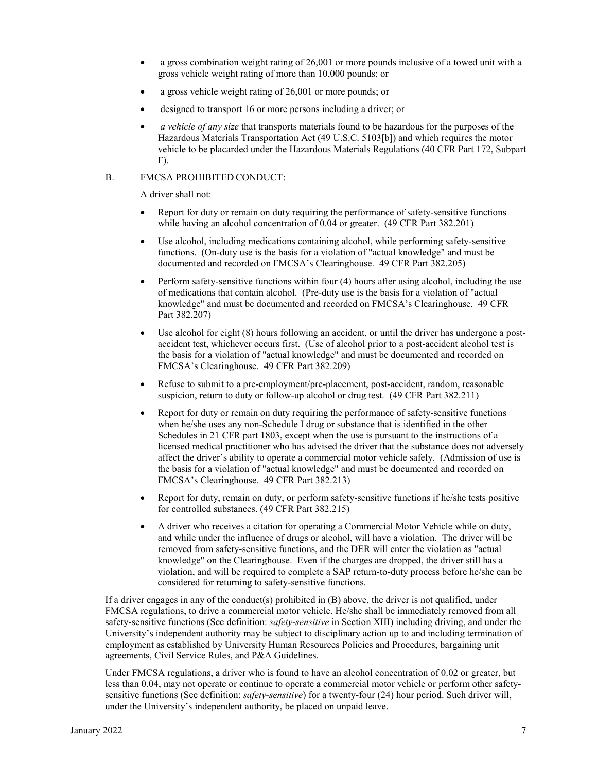- a gross combination weight rating of 26,001 or more pounds inclusive of a towed unit with a gross vehicle weight rating of more than 10,000 pounds; or
- a gross vehicle weight rating of 26,001 or more pounds; or
- designed to transport 16 or more persons including a driver; or
- *a vehicle of any size* that transports materials found to be hazardous for the purposes of the Hazardous Materials Transportation Act (49 U.S.C. 5103[b]) and which requires the motor vehicle to be placarded under the Hazardous Materials Regulations (40 CFR Part 172, Subpart F).

#### B. FMCSA PROHIBITED CONDUCT:

A driver shall not:

- Report for duty or remain on duty requiring the performance of safety-sensitive functions while having an alcohol concentration of 0.04 or greater. (49 CFR Part 382.201)
- Use alcohol, including medications containing alcohol, while performing safety-sensitive functions. (On-duty use is the basis for a violation of "actual knowledge" and must be documented and recorded on FMCSA's Clearinghouse. 49 CFR Part 382.205)
- Perform safety-sensitive functions within four (4) hours after using alcohol, including the use of medications that contain alcohol. (Pre-duty use is the basis for a violation of "actual knowledge" and must be documented and recorded on FMCSA's Clearinghouse. 49 CFR Part 382.207)
- Use alcohol for eight (8) hours following an accident, or until the driver has undergone a postaccident test, whichever occurs first. (Use of alcohol prior to a post-accident alcohol test is the basis for a violation of "actual knowledge" and must be documented and recorded on FMCSA's Clearinghouse. 49 CFR Part 382.209)
- Refuse to submit to a pre-employment/pre-placement, post-accident, random, reasonable suspicion, return to duty or follow-up alcohol or drug test. (49 CFR Part 382.211)
- Report for duty or remain on duty requiring the performance of safety-sensitive functions when he/she uses any non-Schedule I drug or substance that is identified in the other Schedules in 21 CFR part 1803, except when the use is pursuant to the instructions of a licensed medical practitioner who has advised the driver that the substance does not adversely affect the driver's ability to operate a commercial motor vehicle safely. (Admission of use is the basis for a violation of "actual knowledge" and must be documented and recorded on FMCSA's Clearinghouse. 49 CFR Part 382.213)
- Report for duty, remain on duty, or perform safety-sensitive functions if he/she tests positive for controlled substances. (49 CFR Part 382.215)
- A driver who receives a citation for operating a Commercial Motor Vehicle while on duty, and while under the influence of drugs or alcohol, will have a violation. The driver will be removed from safety-sensitive functions, and the DER will enter the violation as "actual knowledge" on the Clearinghouse. Even if the charges are dropped, the driver still has a violation, and will be required to complete a SAP return-to-duty process before he/she can be considered for returning to safety-sensitive functions.

If a driver engages in any of the conduct(s) prohibited in (B) above, the driver is not qualified, under FMCSA regulations, to drive a commercial motor vehicle. He/she shall be immediately removed from all safety-sensitive functions (See definition: *safety-sensitive* in Section XIII) including driving, and under the University's independent authority may be subject to disciplinary action up to and including termination of employment as established by University Human Resources Policies and Procedures, bargaining unit agreements, Civil Service Rules, and P&A Guidelines.

Under FMCSA regulations, a driver who is found to have an alcohol concentration of 0.02 or greater, but less than 0.04, may not operate or continue to operate a commercial motor vehicle or perform other safetysensitive functions (See definition: *safety-sensitive*) for a twenty-four (24) hour period. Such driver will, under the University's independent authority, be placed on unpaid leave.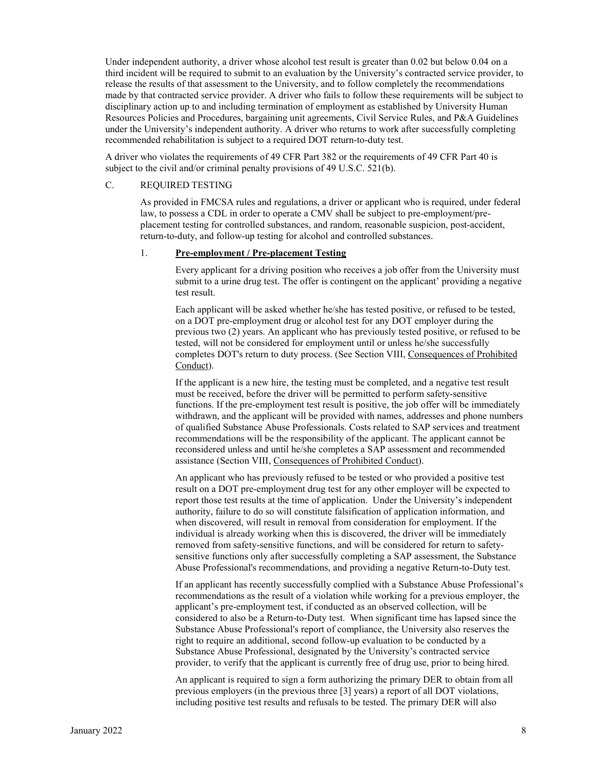Under independent authority, a driver whose alcohol test result is greater than 0.02 but below 0.04 on a third incident will be required to submit to an evaluation by the University's contracted service provider, to release the results of that assessment to the University, and to follow completely the recommendations made by that contracted service provider. A driver who fails to follow these requirements will be subject to disciplinary action up to and including termination of employment as established by University Human Resources Policies and Procedures, bargaining unit agreements, Civil Service Rules, and P&A Guidelines under the University's independent authority. A driver who returns to work after successfully completing recommended rehabilitation is subject to a required DOT return-to-duty test.

A driver who violates the requirements of 49 CFR Part 382 or the requirements of 49 CFR Part 40 is subject to the civil and/or criminal penalty provisions of 49 U.S.C. 521(b).

#### C. REQUIRED TESTING

As provided in FMCSA rules and regulations, a driver or applicant who is required, under federal law, to possess a CDL in order to operate a CMV shall be subject to pre-employment/preplacement testing for controlled substances, and random, reasonable suspicion, post-accident, return-to-duty, and follow-up testing for alcohol and controlled substances.

#### 1. **Pre-employment / Pre-placement Testing**

Every applicant for a driving position who receives a job offer from the University must submit to a urine drug test. The offer is contingent on the applicant' providing a negative test result.

Each applicant will be asked whether he/she has tested positive, or refused to be tested, on a DOT pre-employment drug or alcohol test for any DOT employer during the previous two (2) years. An applicant who has previously tested positive, or refused to be tested, will not be considered for employment until or unless he/she successfully completes DOT's return to duty process. (See Section VIII, Consequences of Prohibited Conduct).

If the applicant is a new hire, the testing must be completed, and a negative test result must be received, before the driver will be permitted to perform safety-sensitive functions. If the pre-employment test result is positive, the job offer will be immediately withdrawn, and the applicant will be provided with names, addresses and phone numbers of qualified Substance Abuse Professionals. Costs related to SAP services and treatment recommendations will be the responsibility of the applicant. The applicant cannot be reconsidered unless and until he/she completes a SAP assessment and recommended assistance (Section VIII, Consequences of Prohibited Conduct).

An applicant who has previously refused to be tested or who provided a positive test result on a DOT pre-employment drug test for any other employer will be expected to report those test results at the time of application. Under the University's independent authority, failure to do so will constitute falsification of application information, and when discovered, will result in removal from consideration for employment. If the individual is already working when this is discovered, the driver will be immediately removed from safety-sensitive functions, and will be considered for return to safetysensitive functions only after successfully completing a SAP assessment, the Substance Abuse Professional's recommendations, and providing a negative Return-to-Duty test.

If an applicant has recently successfully complied with a Substance Abuse Professional's recommendations as the result of a violation while working for a previous employer, the applicant's pre-employment test, if conducted as an observed collection, will be considered to also be a Return-to-Duty test. When significant time has lapsed since the Substance Abuse Professional's report of compliance, the University also reserves the right to require an additional, second follow-up evaluation to be conducted by a Substance Abuse Professional, designated by the University's contracted service provider, to verify that the applicant is currently free of drug use, prior to being hired.

An applicant is required to sign a form authorizing the primary DER to obtain from all previous employers (in the previous three [3] years) a report of all DOT violations, including positive test results and refusals to be tested. The primary DER will also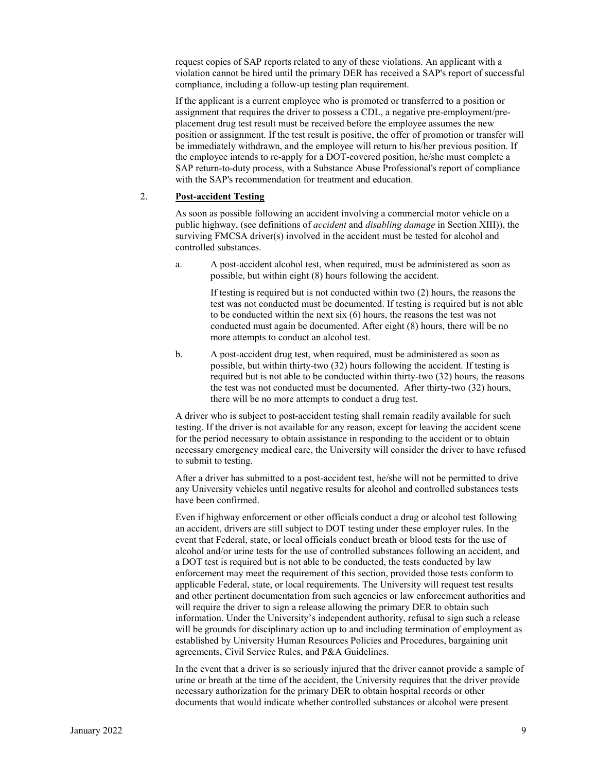request copies of SAP reports related to any of these violations. An applicant with a violation cannot be hired until the primary DER has received a SAP's report of successful compliance, including a follow-up testing plan requirement.

If the applicant is a current employee who is promoted or transferred to a position or assignment that requires the driver to possess a CDL, a negative pre-employment/preplacement drug test result must be received before the employee assumes the new position or assignment. If the test result is positive, the offer of promotion or transfer will be immediately withdrawn, and the employee will return to his/her previous position. If the employee intends to re-apply for a DOT-covered position, he/she must complete a SAP return-to-duty process, with a Substance Abuse Professional's report of compliance with the SAP's recommendation for treatment and education.

#### 2. **Post-accident Testing**

As soon as possible following an accident involving a commercial motor vehicle on a public highway, (see definitions of *accident* and *disabling damage* in Section XIII)), the surviving FMCSA driver(s) involved in the accident must be tested for alcohol and controlled substances.

a. A post-accident alcohol test, when required, must be administered as soon as possible, but within eight (8) hours following the accident.

If testing is required but is not conducted within two (2) hours, the reasons the test was not conducted must be documented. If testing is required but is not able to be conducted within the next six (6) hours, the reasons the test was not conducted must again be documented. After eight (8) hours, there will be no more attempts to conduct an alcohol test.

b. A post-accident drug test, when required, must be administered as soon as possible, but within thirty-two (32) hours following the accident. If testing is required but is not able to be conducted within thirty-two (32) hours, the reasons the test was not conducted must be documented. After thirty-two (32) hours, there will be no more attempts to conduct a drug test.

A driver who is subject to post-accident testing shall remain readily available for such testing. If the driver is not available for any reason, except for leaving the accident scene for the period necessary to obtain assistance in responding to the accident or to obtain necessary emergency medical care, the University will consider the driver to have refused to submit to testing.

After a driver has submitted to a post-accident test, he/she will not be permitted to drive any University vehicles until negative results for alcohol and controlled substances tests have been confirmed.

Even if highway enforcement or other officials conduct a drug or alcohol test following an accident, drivers are still subject to DOT testing under these employer rules. In the event that Federal, state, or local officials conduct breath or blood tests for the use of alcohol and/or urine tests for the use of controlled substances following an accident, and a DOT test is required but is not able to be conducted, the tests conducted by law enforcement may meet the requirement of this section, provided those tests conform to applicable Federal, state, or local requirements. The University will request test results and other pertinent documentation from such agencies or law enforcement authorities and will require the driver to sign a release allowing the primary DER to obtain such information. Under the University's independent authority, refusal to sign such a release will be grounds for disciplinary action up to and including termination of employment as established by University Human Resources Policies and Procedures, bargaining unit agreements, Civil Service Rules, and P&A Guidelines.

In the event that a driver is so seriously injured that the driver cannot provide a sample of urine or breath at the time of the accident, the University requires that the driver provide necessary authorization for the primary DER to obtain hospital records or other documents that would indicate whether controlled substances or alcohol were present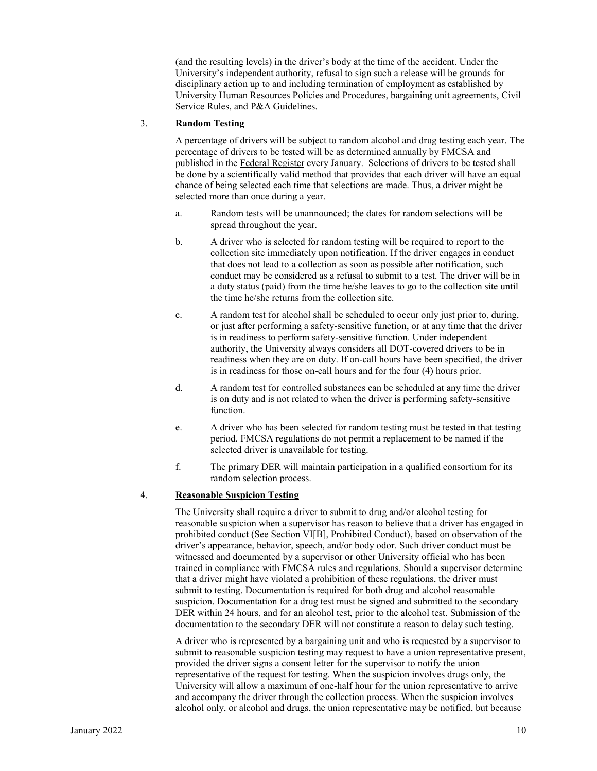(and the resulting levels) in the driver's body at the time of the accident. Under the University's independent authority, refusal to sign such a release will be grounds for disciplinary action up to and including termination of employment as established by University Human Resources Policies and Procedures, bargaining unit agreements, Civil Service Rules, and P&A Guidelines.

#### 3. **Random Testing**

A percentage of drivers will be subject to random alcohol and drug testing each year. The percentage of drivers to be tested will be as determined annually by FMCSA and published in the Federal Register every January. Selections of drivers to be tested shall be done by a scientifically valid method that provides that each driver will have an equal chance of being selected each time that selections are made. Thus, a driver might be selected more than once during a year.

- a. Random tests will be unannounced; the dates for random selections will be spread throughout the year.
- b. A driver who is selected for random testing will be required to report to the collection site immediately upon notification. If the driver engages in conduct that does not lead to a collection as soon as possible after notification, such conduct may be considered as a refusal to submit to a test. The driver will be in a duty status (paid) from the time he/she leaves to go to the collection site until the time he/she returns from the collection site.
- c. A random test for alcohol shall be scheduled to occur only just prior to, during, or just after performing a safety-sensitive function, or at any time that the driver is in readiness to perform safety-sensitive function. Under independent authority, the University always considers all DOT-covered drivers to be in readiness when they are on duty. If on-call hours have been specified, the driver is in readiness for those on-call hours and for the four (4) hours prior.
- d. A random test for controlled substances can be scheduled at any time the driver is on duty and is not related to when the driver is performing safety-sensitive function.
- e. A driver who has been selected for random testing must be tested in that testing period. FMCSA regulations do not permit a replacement to be named if the selected driver is unavailable for testing.
- f. The primary DER will maintain participation in a qualified consortium for its random selection process.

#### 4. **Reasonable Suspicion Testing**

The University shall require a driver to submit to drug and/or alcohol testing for reasonable suspicion when a supervisor has reason to believe that a driver has engaged in prohibited conduct (See Section VI[B], Prohibited Conduct), based on observation of the driver's appearance, behavior, speech, and/or body odor. Such driver conduct must be witnessed and documented by a supervisor or other University official who has been trained in compliance with FMCSA rules and regulations. Should a supervisor determine that a driver might have violated a prohibition of these regulations, the driver must submit to testing. Documentation is required for both drug and alcohol reasonable suspicion. Documentation for a drug test must be signed and submitted to the secondary DER within 24 hours, and for an alcohol test, prior to the alcohol test. Submission of the documentation to the secondary DER will not constitute a reason to delay such testing.

A driver who is represented by a bargaining unit and who is requested by a supervisor to submit to reasonable suspicion testing may request to have a union representative present, provided the driver signs a consent letter for the supervisor to notify the union representative of the request for testing. When the suspicion involves drugs only, the University will allow a maximum of one-half hour for the union representative to arrive and accompany the driver through the collection process. When the suspicion involves alcohol only, or alcohol and drugs, the union representative may be notified, but because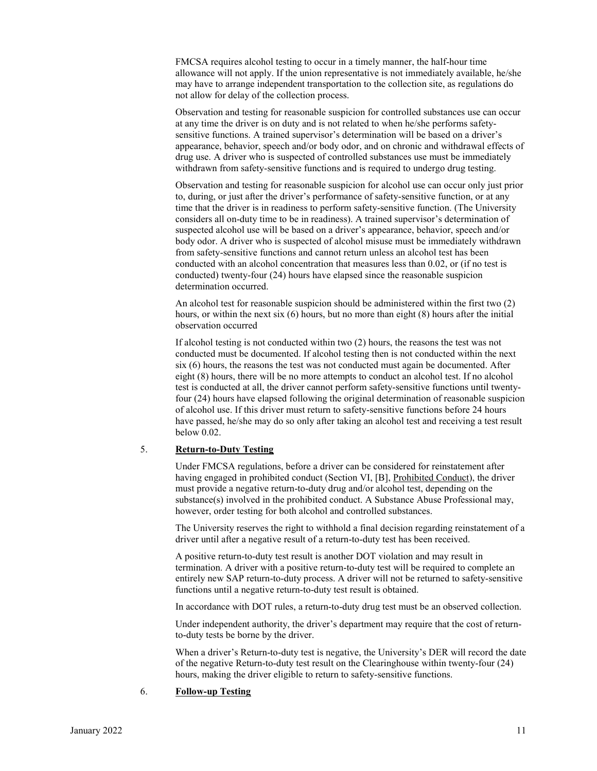FMCSA requires alcohol testing to occur in a timely manner, the half-hour time allowance will not apply. If the union representative is not immediately available, he/she may have to arrange independent transportation to the collection site, as regulations do not allow for delay of the collection process.

Observation and testing for reasonable suspicion for controlled substances use can occur at any time the driver is on duty and is not related to when he/she performs safetysensitive functions. A trained supervisor's determination will be based on a driver's appearance, behavior, speech and/or body odor, and on chronic and withdrawal effects of drug use. A driver who is suspected of controlled substances use must be immediately withdrawn from safety-sensitive functions and is required to undergo drug testing.

Observation and testing for reasonable suspicion for alcohol use can occur only just prior to, during, or just after the driver's performance of safety-sensitive function, or at any time that the driver is in readiness to perform safety-sensitive function. (The University considers all on-duty time to be in readiness). A trained supervisor's determination of suspected alcohol use will be based on a driver's appearance, behavior, speech and/or body odor. A driver who is suspected of alcohol misuse must be immediately withdrawn from safety-sensitive functions and cannot return unless an alcohol test has been conducted with an alcohol concentration that measures less than 0.02, or (if no test is conducted) twenty-four (24) hours have elapsed since the reasonable suspicion determination occurred.

An alcohol test for reasonable suspicion should be administered within the first two (2) hours, or within the next six (6) hours, but no more than eight (8) hours after the initial observation occurred

If alcohol testing is not conducted within two (2) hours, the reasons the test was not conducted must be documented. If alcohol testing then is not conducted within the next six (6) hours, the reasons the test was not conducted must again be documented. After eight (8) hours, there will be no more attempts to conduct an alcohol test. If no alcohol test is conducted at all, the driver cannot perform safety-sensitive functions until twentyfour (24) hours have elapsed following the original determination of reasonable suspicion of alcohol use. If this driver must return to safety-sensitive functions before 24 hours have passed, he/she may do so only after taking an alcohol test and receiving a test result below 0.02.

#### 5. **Return-to-Duty Testing**

Under FMCSA regulations, before a driver can be considered for reinstatement after having engaged in prohibited conduct (Section VI, [B], Prohibited Conduct), the driver must provide a negative return-to-duty drug and/or alcohol test, depending on the substance(s) involved in the prohibited conduct. A Substance Abuse Professional may, however, order testing for both alcohol and controlled substances.

The University reserves the right to withhold a final decision regarding reinstatement of a driver until after a negative result of a return-to-duty test has been received.

A positive return-to-duty test result is another DOT violation and may result in termination. A driver with a positive return-to-duty test will be required to complete an entirely new SAP return-to-duty process. A driver will not be returned to safety-sensitive functions until a negative return-to-duty test result is obtained.

In accordance with DOT rules, a return-to-duty drug test must be an observed collection.

Under independent authority, the driver's department may require that the cost of returnto-duty tests be borne by the driver.

When a driver's Return-to-duty test is negative, the University's DER will record the date of the negative Return-to-duty test result on the Clearinghouse within twenty-four (24) hours, making the driver eligible to return to safety-sensitive functions.

#### 6. **Follow-up Testing**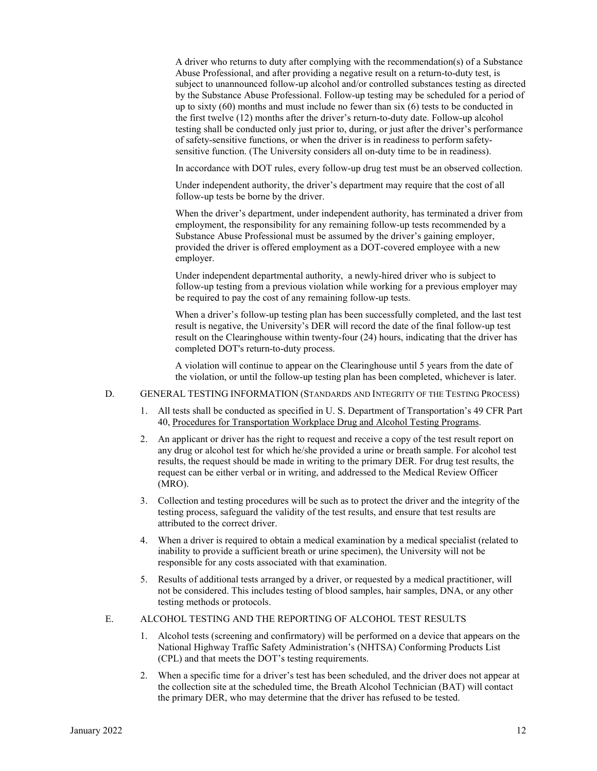A driver who returns to duty after complying with the recommendation(s) of a Substance Abuse Professional, and after providing a negative result on a return-to-duty test, is subject to unannounced follow-up alcohol and/or controlled substances testing as directed by the Substance Abuse Professional. Follow-up testing may be scheduled for a period of up to sixty (60) months and must include no fewer than six (6) tests to be conducted in the first twelve (12) months after the driver's return-to-duty date. Follow-up alcohol testing shall be conducted only just prior to, during, or just after the driver's performance of safety-sensitive functions, or when the driver is in readiness to perform safetysensitive function. (The University considers all on-duty time to be in readiness).

In accordance with DOT rules, every follow-up drug test must be an observed collection.

Under independent authority, the driver's department may require that the cost of all follow-up tests be borne by the driver.

When the driver's department, under independent authority, has terminated a driver from employment, the responsibility for any remaining follow-up tests recommended by a Substance Abuse Professional must be assumed by the driver's gaining employer, provided the driver is offered employment as a DOT-covered employee with a new employer.

Under independent departmental authority, a newly-hired driver who is subject to follow-up testing from a previous violation while working for a previous employer may be required to pay the cost of any remaining follow-up tests.

When a driver's follow-up testing plan has been successfully completed, and the last test result is negative, the University's DER will record the date of the final follow-up test result on the Clearinghouse within twenty-four (24) hours, indicating that the driver has completed DOT's return-to-duty process.

A violation will continue to appear on the Clearinghouse until 5 years from the date of the violation, or until the follow-up testing plan has been completed, whichever is later.

#### D. GENERAL TESTING INFORMATION (STANDARDS AND INTEGRITY OF THE TESTING PROCESS)

- 1. All tests shall be conducted as specified in U. S. Department of Transportation's 49 CFR Part 40, Procedures for Transportation Workplace Drug and Alcohol Testing Programs.
- 2. An applicant or driver has the right to request and receive a copy of the test result report on any drug or alcohol test for which he/she provided a urine or breath sample. For alcohol test results, the request should be made in writing to the primary DER. For drug test results, the request can be either verbal or in writing, and addressed to the Medical Review Officer (MRO).
- 3. Collection and testing procedures will be such as to protect the driver and the integrity of the testing process, safeguard the validity of the test results, and ensure that test results are attributed to the correct driver.
- 4. When a driver is required to obtain a medical examination by a medical specialist (related to inability to provide a sufficient breath or urine specimen), the University will not be responsible for any costs associated with that examination.
- 5. Results of additional tests arranged by a driver, or requested by a medical practitioner, will not be considered. This includes testing of blood samples, hair samples, DNA, or any other testing methods or protocols.

#### E. ALCOHOL TESTING AND THE REPORTING OF ALCOHOL TEST RESULTS

- 1. Alcohol tests (screening and confirmatory) will be performed on a device that appears on the National Highway Traffic Safety Administration's (NHTSA) Conforming Products List (CPL) and that meets the DOT's testing requirements.
- 2. When a specific time for a driver's test has been scheduled, and the driver does not appear at the collection site at the scheduled time, the Breath Alcohol Technician (BAT) will contact the primary DER, who may determine that the driver has refused to be tested.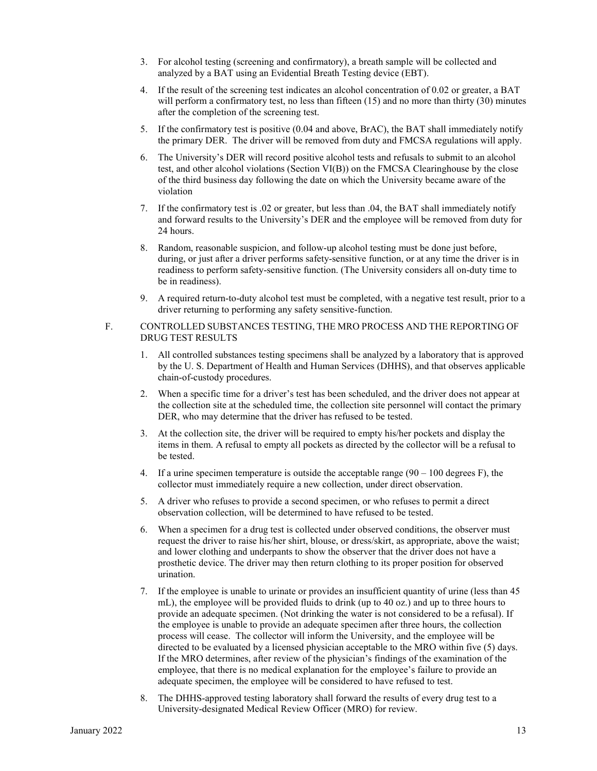- 3. For alcohol testing (screening and confirmatory), a breath sample will be collected and analyzed by a BAT using an Evidential Breath Testing device (EBT).
- 4. If the result of the screening test indicates an alcohol concentration of 0.02 or greater, a BAT will perform a confirmatory test, no less than fifteen (15) and no more than thirty (30) minutes after the completion of the screening test.
- 5. If the confirmatory test is positive (0.04 and above, BrAC), the BAT shall immediately notify the primary DER. The driver will be removed from duty and FMCSA regulations will apply.
- 6. The University's DER will record positive alcohol tests and refusals to submit to an alcohol test, and other alcohol violations (Section VI(B)) on the FMCSA Clearinghouse by the close of the third business day following the date on which the University became aware of the violation
- 7. If the confirmatory test is .02 or greater, but less than .04, the BAT shall immediately notify and forward results to the University's DER and the employee will be removed from duty for 24 hours.
- 8. Random, reasonable suspicion, and follow-up alcohol testing must be done just before, during, or just after a driver performs safety-sensitive function, or at any time the driver is in readiness to perform safety-sensitive function. (The University considers all on-duty time to be in readiness).
- 9. A required return-to-duty alcohol test must be completed, with a negative test result, prior to a driver returning to performing any safety sensitive-function.

#### F. CONTROLLED SUBSTANCES TESTING, THE MRO PROCESS AND THE REPORTING OF DRUG TEST RESULTS

- 1. All controlled substances testing specimens shall be analyzed by a laboratory that is approved by the U. S. Department of Health and Human Services (DHHS), and that observes applicable chain-of-custody procedures.
- 2. When a specific time for a driver's test has been scheduled, and the driver does not appear at the collection site at the scheduled time, the collection site personnel will contact the primary DER, who may determine that the driver has refused to be tested.
- 3. At the collection site, the driver will be required to empty his/her pockets and display the items in them. A refusal to empty all pockets as directed by the collector will be a refusal to be tested.
- 4. If a urine specimen temperature is outside the acceptable range  $(90 100$  degrees F), the collector must immediately require a new collection, under direct observation.
- 5. A driver who refuses to provide a second specimen, or who refuses to permit a direct observation collection, will be determined to have refused to be tested.
- 6. When a specimen for a drug test is collected under observed conditions, the observer must request the driver to raise his/her shirt, blouse, or dress/skirt, as appropriate, above the waist; and lower clothing and underpants to show the observer that the driver does not have a prosthetic device. The driver may then return clothing to its proper position for observed urination.
- 7. If the employee is unable to urinate or provides an insufficient quantity of urine (less than 45 mL), the employee will be provided fluids to drink (up to 40 oz.) and up to three hours to provide an adequate specimen. (Not drinking the water is not considered to be a refusal). If the employee is unable to provide an adequate specimen after three hours, the collection process will cease. The collector will inform the University, and the employee will be directed to be evaluated by a licensed physician acceptable to the MRO within five (5) days. If the MRO determines, after review of the physician's findings of the examination of the employee, that there is no medical explanation for the employee's failure to provide an adequate specimen, the employee will be considered to have refused to test.
- 8. The DHHS-approved testing laboratory shall forward the results of every drug test to a University-designated Medical Review Officer (MRO) for review.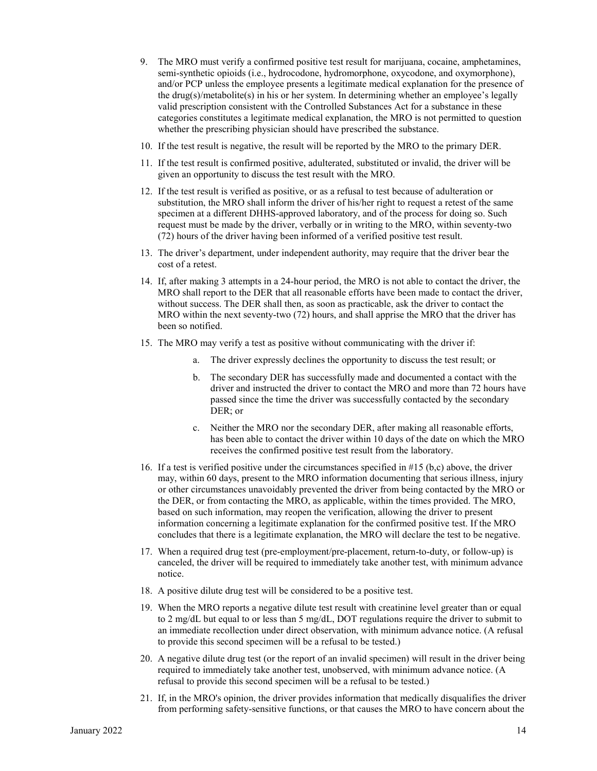- 9. The MRO must verify a confirmed positive test result for marijuana, cocaine, amphetamines, semi-synthetic opioids (i.e., hydrocodone, hydromorphone, oxycodone, and oxymorphone), and/or PCP unless the employee presents a legitimate medical explanation for the presence of the drug(s)/metabolite(s) in his or her system. In determining whether an employee's legally valid prescription consistent with the Controlled Substances Act for a substance in these categories constitutes a legitimate medical explanation, the MRO is not permitted to question whether the prescribing physician should have prescribed the substance.
- 10. If the test result is negative, the result will be reported by the MRO to the primary DER.
- 11. If the test result is confirmed positive, adulterated, substituted or invalid, the driver will be given an opportunity to discuss the test result with the MRO.
- 12. If the test result is verified as positive, or as a refusal to test because of adulteration or substitution, the MRO shall inform the driver of his/her right to request a retest of the same specimen at a different DHHS-approved laboratory, and of the process for doing so. Such request must be made by the driver, verbally or in writing to the MRO, within seventy-two (72) hours of the driver having been informed of a verified positive test result.
- 13. The driver's department, under independent authority, may require that the driver bear the cost of a retest.
- 14. If, after making 3 attempts in a 24-hour period, the MRO is not able to contact the driver, the MRO shall report to the DER that all reasonable efforts have been made to contact the driver, without success. The DER shall then, as soon as practicable, ask the driver to contact the MRO within the next seventy-two (72) hours, and shall apprise the MRO that the driver has been so notified.
- 15. The MRO may verify a test as positive without communicating with the driver if:
	- a. The driver expressly declines the opportunity to discuss the test result; or
	- b. The secondary DER has successfully made and documented a contact with the driver and instructed the driver to contact the MRO and more than 72 hours have passed since the time the driver was successfully contacted by the secondary DER; or
	- c. Neither the MRO nor the secondary DER, after making all reasonable efforts, has been able to contact the driver within 10 days of the date on which the MRO receives the confirmed positive test result from the laboratory.
- 16. If a test is verified positive under the circumstances specified in #15 (b,c) above, the driver may, within 60 days, present to the MRO information documenting that serious illness, injury or other circumstances unavoidably prevented the driver from being contacted by the MRO or the DER, or from contacting the MRO, as applicable, within the times provided. The MRO, based on such information, may reopen the verification, allowing the driver to present information concerning a legitimate explanation for the confirmed positive test. If the MRO concludes that there is a legitimate explanation, the MRO will declare the test to be negative.
- 17. When a required drug test (pre-employment/pre-placement, return-to-duty, or follow-up) is canceled, the driver will be required to immediately take another test, with minimum advance notice.
- 18. A positive dilute drug test will be considered to be a positive test.
- 19. When the MRO reports a negative dilute test result with creatinine level greater than or equal to 2 mg/dL but equal to or less than 5 mg/dL, DOT regulations require the driver to submit to an immediate recollection under direct observation, with minimum advance notice. (A refusal to provide this second specimen will be a refusal to be tested.)
- 20. A negative dilute drug test (or the report of an invalid specimen) will result in the driver being required to immediately take another test, unobserved, with minimum advance notice. (A refusal to provide this second specimen will be a refusal to be tested.)
- 21. If, in the MRO's opinion, the driver provides information that medically disqualifies the driver from performing safety-sensitive functions, or that causes the MRO to have concern about the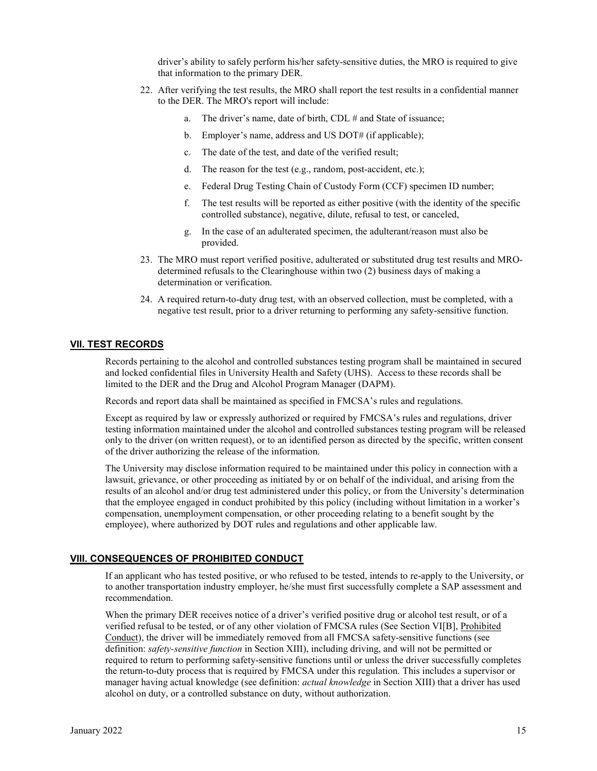driver's ability to safely perform his/her safety-sensitive duties, the MRO is required to give that information to the primary DER.

- 22. After verifying the test results, the MRO shall report the test results in a confidential manner to the DER. The MRO's report will include:
	- a. The driver's name, date of birth, CDL # and State of issuance;
	- b. Employer's name, address and US DOT# (if applicable);
	- c. The date of the test, and date of the verified result;
	- d. The reason for the test (e.g., random, post-accident, etc.);
	- e. Federal Drug Testing Chain of Custody Form (CCF) specimen ID number;
	- f. The test results will be reported as either positive (with the identity of the specific controlled substance), negative, dilute, refusal to test, or canceled,
	- g. In the case of an adulterated specimen, the adulterant/reason must also be provided.
- 23. The MRO must report verified positive, adulterated or substituted drug test results and MROdetermined refusals to the Clearinghouse within two (2) business days of making a determination or verification.
- 24. A required return-to-duty drug test, with an observed collection, must be completed, with a negative test result, prior to a driver returning to performing any safety-sensitive function.

#### **VII. TEST RECORDS**

Records pertaining to the alcohol and controlled substances testing program shall be maintained in secured and locked confidential files in University Health and Safety (UHS). Access to these records shall be limited to the DER and the Drug and Alcohol Program Manager (DAPM).

Records and report data shall be maintained as specified in FMCSA's rules and regulations.

Except as required by law or expressly authorized or required by FMCSA's rules and regulations, driver testing information maintained under the alcohol and controlled substances testing program will be released only to the driver (on written request), or to an identified person as directed by the specific, written consent of the driver authorizing the release of the information.

The University may disclose information required to be maintained under this policy in connection with a lawsuit, grievance, or other proceeding as initiated by or on behalf of the individual, and arising from the results of an alcohol and/or drug test administered under this policy, or from the University's determination that the employee engaged in conduct prohibited by this policy (including without limitation in a worker's compensation, unemployment compensation, or other proceeding relating to a benefit sought by the employee), where authorized by DOT rules and regulations and other applicable law.

#### **VIII. CONSEQUENCES OF PROHIBITED CONDUCT**

If an applicant who has tested positive, or who refused to be tested, intends to re-apply to the University, or to another transportation industry employer, he/she must first successfully complete a SAP assessment and recommendation.

When the primary DER receives notice of a driver's verified positive drug or alcohol test result, or of a verified refusal to be tested, or of any other violation of FMCSA rules (See Section VI[B], Prohibited Conduct), the driver will be immediately removed from all FMCSA safety-sensitive functions (see definition: *safety-sensitive function* in Section XIII), including driving, and will not be permitted or required to return to performing safety-sensitive functions until or unless the driver successfully completes the return-to-duty process that is required by FMCSA under this regulation. This includes a supervisor or manager having actual knowledge (see definition: *actual knowledge* in Section XIII) that a driver has used alcohol on duty, or a controlled substance on duty, without authorization.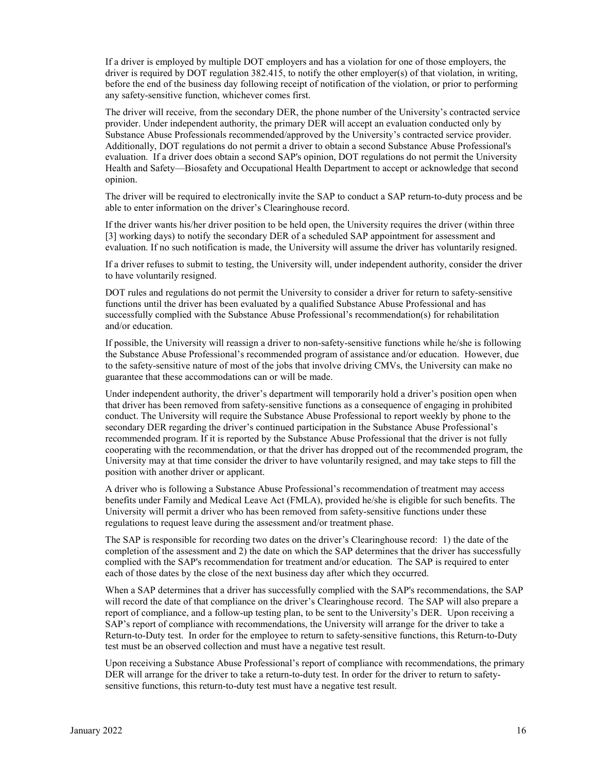If a driver is employed by multiple DOT employers and has a violation for one of those employers, the driver is required by DOT regulation 382.415, to notify the other employer(s) of that violation, in writing, before the end of the business day following receipt of notification of the violation, or prior to performing any safety-sensitive function, whichever comes first.

The driver will receive, from the secondary DER, the phone number of the University's contracted service provider. Under independent authority, the primary DER will accept an evaluation conducted only by Substance Abuse Professionals recommended/approved by the University's contracted service provider. Additionally, DOT regulations do not permit a driver to obtain a second Substance Abuse Professional's evaluation. If a driver does obtain a second SAP's opinion, DOT regulations do not permit the University Health and Safety—Biosafety and Occupational Health Department to accept or acknowledge that second opinion.

The driver will be required to electronically invite the SAP to conduct a SAP return-to-duty process and be able to enter information on the driver's Clearinghouse record.

If the driver wants his/her driver position to be held open, the University requires the driver (within three [3] working days) to notify the secondary DER of a scheduled SAP appointment for assessment and evaluation. If no such notification is made, the University will assume the driver has voluntarily resigned.

If a driver refuses to submit to testing, the University will, under independent authority, consider the driver to have voluntarily resigned.

DOT rules and regulations do not permit the University to consider a driver for return to safety-sensitive functions until the driver has been evaluated by a qualified Substance Abuse Professional and has successfully complied with the Substance Abuse Professional's recommendation(s) for rehabilitation and/or education.

If possible, the University will reassign a driver to non-safety-sensitive functions while he/she is following the Substance Abuse Professional's recommended program of assistance and/or education. However, due to the safety-sensitive nature of most of the jobs that involve driving CMVs, the University can make no guarantee that these accommodations can or will be made.

Under independent authority, the driver's department will temporarily hold a driver's position open when that driver has been removed from safety-sensitive functions as a consequence of engaging in prohibited conduct. The University will require the Substance Abuse Professional to report weekly by phone to the secondary DER regarding the driver's continued participation in the Substance Abuse Professional's recommended program. If it is reported by the Substance Abuse Professional that the driver is not fully cooperating with the recommendation, or that the driver has dropped out of the recommended program, the University may at that time consider the driver to have voluntarily resigned, and may take steps to fill the position with another driver or applicant.

A driver who is following a Substance Abuse Professional's recommendation of treatment may access benefits under Family and Medical Leave Act (FMLA), provided he/she is eligible for such benefits. The University will permit a driver who has been removed from safety-sensitive functions under these regulations to request leave during the assessment and/or treatment phase.

The SAP is responsible for recording two dates on the driver's Clearinghouse record: 1) the date of the completion of the assessment and 2) the date on which the SAP determines that the driver has successfully complied with the SAP's recommendation for treatment and/or education. The SAP is required to enter each of those dates by the close of the next business day after which they occurred.

When a SAP determines that a driver has successfully complied with the SAP's recommendations, the SAP will record the date of that compliance on the driver's Clearinghouse record. The SAP will also prepare a report of compliance, and a follow-up testing plan, to be sent to the University's DER. Upon receiving a SAP's report of compliance with recommendations, the University will arrange for the driver to take a Return-to-Duty test. In order for the employee to return to safety-sensitive functions, this Return-to-Duty test must be an observed collection and must have a negative test result.

Upon receiving a Substance Abuse Professional's report of compliance with recommendations, the primary DER will arrange for the driver to take a return-to-duty test. In order for the driver to return to safetysensitive functions, this return-to-duty test must have a negative test result.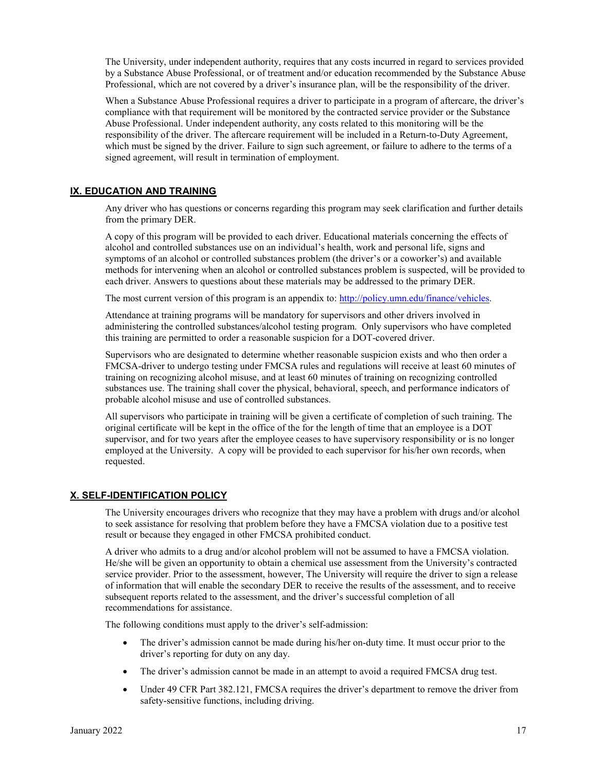The University, under independent authority, requires that any costs incurred in regard to services provided by a Substance Abuse Professional, or of treatment and/or education recommended by the Substance Abuse Professional, which are not covered by a driver's insurance plan, will be the responsibility of the driver.

When a Substance Abuse Professional requires a driver to participate in a program of aftercare, the driver's compliance with that requirement will be monitored by the contracted service provider or the Substance Abuse Professional. Under independent authority, any costs related to this monitoring will be the responsibility of the driver. The aftercare requirement will be included in a Return-to-Duty Agreement, which must be signed by the driver. Failure to sign such agreement, or failure to adhere to the terms of a signed agreement, will result in termination of employment.

#### **IX. EDUCATION AND TRAINING**

Any driver who has questions or concerns regarding this program may seek clarification and further details from the primary DER.

A copy of this program will be provided to each driver. Educational materials concerning the effects of alcohol and controlled substances use on an individual's health, work and personal life, signs and symptoms of an alcohol or controlled substances problem (the driver's or a coworker's) and available methods for intervening when an alcohol or controlled substances problem is suspected, will be provided to each driver. Answers to questions about these materials may be addressed to the primary DER.

The most current version of this program is an appendix to: [http://policy.umn.edu/finance/vehicles.](http://policy.umn.edu/finance/vehicles)

Attendance at training programs will be mandatory for supervisors and other drivers involved in administering the controlled substances/alcohol testing program. Only supervisors who have completed this training are permitted to order a reasonable suspicion for a DOT-covered driver.

Supervisors who are designated to determine whether reasonable suspicion exists and who then order a FMCSA-driver to undergo testing under FMCSA rules and regulations will receive at least 60 minutes of training on recognizing alcohol misuse, and at least 60 minutes of training on recognizing controlled substances use. The training shall cover the physical, behavioral, speech, and performance indicators of probable alcohol misuse and use of controlled substances.

All supervisors who participate in training will be given a certificate of completion of such training. The original certificate will be kept in the office of the for the length of time that an employee is a DOT supervisor, and for two years after the employee ceases to have supervisory responsibility or is no longer employed at the University. A copy will be provided to each supervisor for his/her own records, when requested.

#### **X. SELF-IDENTIFICATION POLICY**

The University encourages drivers who recognize that they may have a problem with drugs and/or alcohol to seek assistance for resolving that problem before they have a FMCSA violation due to a positive test result or because they engaged in other FMCSA prohibited conduct.

A driver who admits to a drug and/or alcohol problem will not be assumed to have a FMCSA violation. He/she will be given an opportunity to obtain a chemical use assessment from the University's contracted service provider. Prior to the assessment, however, The University will require the driver to sign a release of information that will enable the secondary DER to receive the results of the assessment, and to receive subsequent reports related to the assessment, and the driver's successful completion of all recommendations for assistance.

The following conditions must apply to the driver's self-admission:

- The driver's admission cannot be made during his/her on-duty time. It must occur prior to the driver's reporting for duty on any day.
- The driver's admission cannot be made in an attempt to avoid a required FMCSA drug test.
- Under 49 CFR Part 382.121, FMCSA requires the driver's department to remove the driver from safety-sensitive functions, including driving.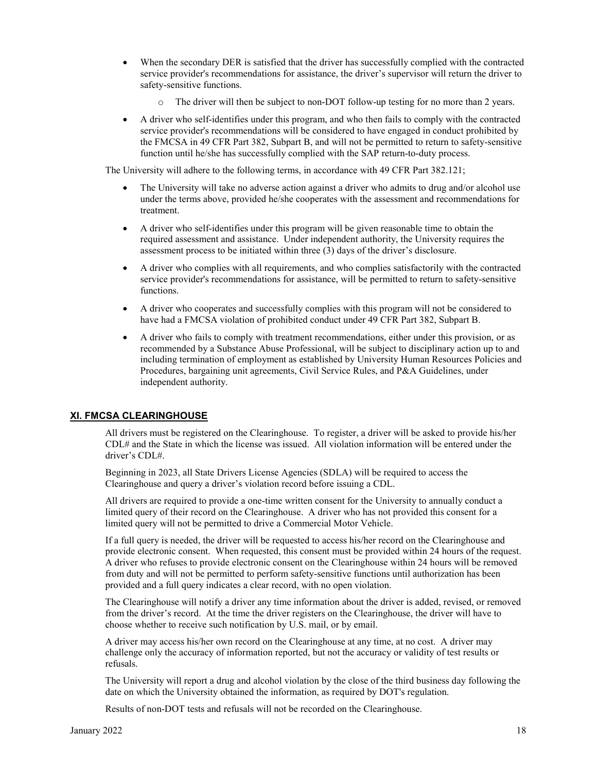- When the secondary DER is satisfied that the driver has successfully complied with the contracted service provider's recommendations for assistance, the driver's supervisor will return the driver to safety-sensitive functions.
	- The driver will then be subject to non-DOT follow-up testing for no more than 2 years.
- A driver who self-identifies under this program, and who then fails to comply with the contracted service provider's recommendations will be considered to have engaged in conduct prohibited by the FMCSA in 49 CFR Part 382, Subpart B, and will not be permitted to return to safety-sensitive function until he/she has successfully complied with the SAP return-to-duty process.

The University will adhere to the following terms, in accordance with 49 CFR Part 382.121;

- The University will take no adverse action against a driver who admits to drug and/or alcohol use under the terms above, provided he/she cooperates with the assessment and recommendations for treatment.
- A driver who self-identifies under this program will be given reasonable time to obtain the required assessment and assistance. Under independent authority, the University requires the assessment process to be initiated within three (3) days of the driver's disclosure.
- A driver who complies with all requirements, and who complies satisfactorily with the contracted service provider's recommendations for assistance, will be permitted to return to safety-sensitive functions.
- A driver who cooperates and successfully complies with this program will not be considered to have had a FMCSA violation of prohibited conduct under 49 CFR Part 382, Subpart B.
- A driver who fails to comply with treatment recommendations, either under this provision, or as recommended by a Substance Abuse Professional, will be subject to disciplinary action up to and including termination of employment as established by University Human Resources Policies and Procedures, bargaining unit agreements, Civil Service Rules, and P&A Guidelines, under independent authority.

#### **XI. FMCSA CLEARINGHOUSE**

All drivers must be registered on the Clearinghouse. To register, a driver will be asked to provide his/her CDL# and the State in which the license was issued. All violation information will be entered under the driver's CDL#.

Beginning in 2023, all State Drivers License Agencies (SDLA) will be required to access the Clearinghouse and query a driver's violation record before issuing a CDL.

All drivers are required to provide a one-time written consent for the University to annually conduct a limited query of their record on the Clearinghouse. A driver who has not provided this consent for a limited query will not be permitted to drive a Commercial Motor Vehicle.

If a full query is needed, the driver will be requested to access his/her record on the Clearinghouse and provide electronic consent. When requested, this consent must be provided within 24 hours of the request. A driver who refuses to provide electronic consent on the Clearinghouse within 24 hours will be removed from duty and will not be permitted to perform safety-sensitive functions until authorization has been provided and a full query indicates a clear record, with no open violation.

The Clearinghouse will notify a driver any time information about the driver is added, revised, or removed from the driver's record. At the time the driver registers on the Clearinghouse, the driver will have to choose whether to receive such notification by U.S. mail, or by email.

A driver may access his/her own record on the Clearinghouse at any time, at no cost. A driver may challenge only the accuracy of information reported, but not the accuracy or validity of test results or refusals.

The University will report a drug and alcohol violation by the close of the third business day following the date on which the University obtained the information, as required by DOT's regulation.

Results of non-DOT tests and refusals will not be recorded on the Clearinghouse.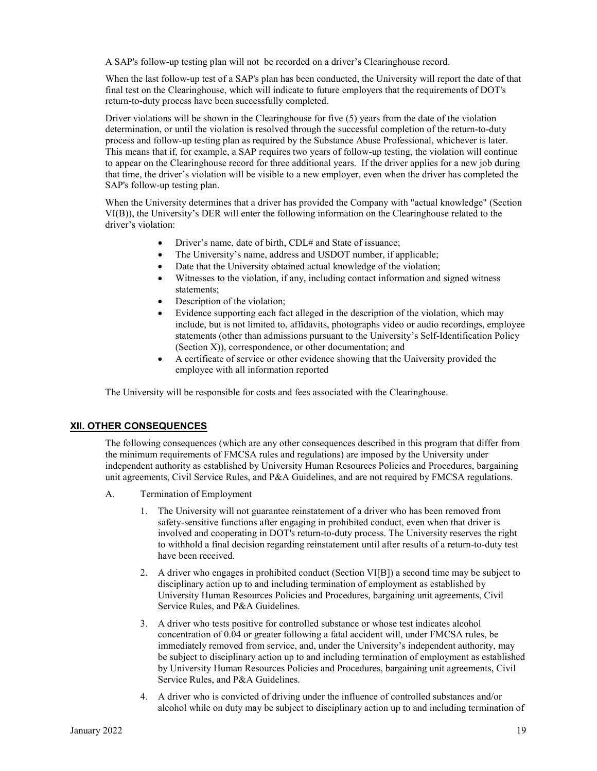A SAP's follow-up testing plan will not be recorded on a driver's Clearinghouse record.

When the last follow-up test of a SAP's plan has been conducted, the University will report the date of that final test on the Clearinghouse, which will indicate to future employers that the requirements of DOT's return-to-duty process have been successfully completed.

Driver violations will be shown in the Clearinghouse for five (5) years from the date of the violation determination, or until the violation is resolved through the successful completion of the return-to-duty process and follow-up testing plan as required by the Substance Abuse Professional, whichever is later. This means that if, for example, a SAP requires two years of follow-up testing, the violation will continue to appear on the Clearinghouse record for three additional years. If the driver applies for a new job during that time, the driver's violation will be visible to a new employer, even when the driver has completed the SAP's follow-up testing plan.

When the University determines that a driver has provided the Company with "actual knowledge" (Section VI(B)), the University's DER will enter the following information on the Clearinghouse related to the driver's violation:

- Driver's name, date of birth, CDL# and State of issuance;
- The University's name, address and USDOT number, if applicable;
- Date that the University obtained actual knowledge of the violation;
- Witnesses to the violation, if any, including contact information and signed witness statements;
- Description of the violation;
- Evidence supporting each fact alleged in the description of the violation, which may include, but is not limited to, affidavits, photographs video or audio recordings, employee statements (other than admissions pursuant to the University's Self-Identification Policy (Section X)), correspondence, or other documentation; and
- A certificate of service or other evidence showing that the University provided the employee with all information reported

The University will be responsible for costs and fees associated with the Clearinghouse.

#### **XII. OTHER CONSEQUENCES**

The following consequences (which are any other consequences described in this program that differ from the minimum requirements of FMCSA rules and regulations) are imposed by the University under independent authority as established by University Human Resources Policies and Procedures, bargaining unit agreements, Civil Service Rules, and P&A Guidelines, and are not required by FMCSA regulations.

- A. Termination of Employment
	- 1. The University will not guarantee reinstatement of a driver who has been removed from safety-sensitive functions after engaging in prohibited conduct, even when that driver is involved and cooperating in DOT's return-to-duty process. The University reserves the right to withhold a final decision regarding reinstatement until after results of a return-to-duty test have been received.
	- 2. A driver who engages in prohibited conduct (Section VI[B]) a second time may be subject to disciplinary action up to and including termination of employment as established by University Human Resources Policies and Procedures, bargaining unit agreements, Civil Service Rules, and P&A Guidelines.
	- 3. A driver who tests positive for controlled substance or whose test indicates alcohol concentration of 0.04 or greater following a fatal accident will, under FMCSA rules, be immediately removed from service, and, under the University's independent authority, may be subject to disciplinary action up to and including termination of employment as established by University Human Resources Policies and Procedures, bargaining unit agreements, Civil Service Rules, and P&A Guidelines.
	- 4. A driver who is convicted of driving under the influence of controlled substances and/or alcohol while on duty may be subject to disciplinary action up to and including termination of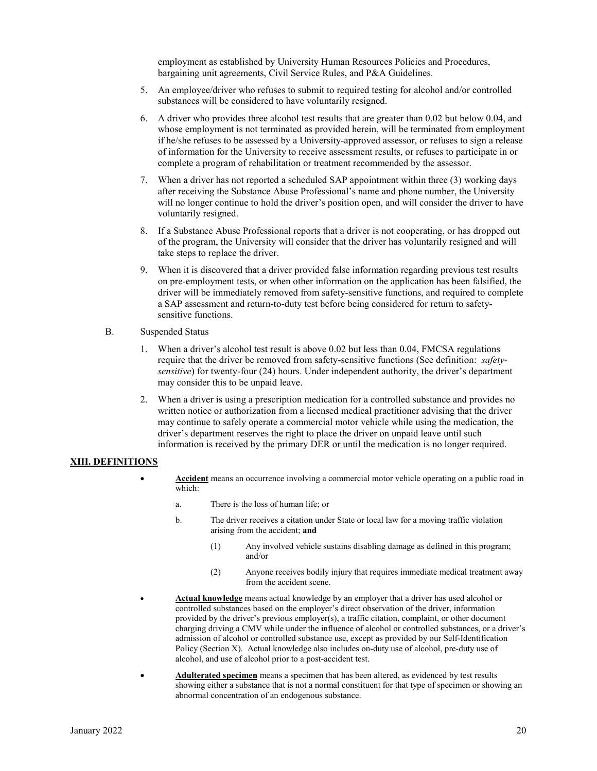employment as established by University Human Resources Policies and Procedures, bargaining unit agreements, Civil Service Rules, and P&A Guidelines.

- 5. An employee/driver who refuses to submit to required testing for alcohol and/or controlled substances will be considered to have voluntarily resigned.
- 6. A driver who provides three alcohol test results that are greater than 0.02 but below 0.04, and whose employment is not terminated as provided herein, will be terminated from employment if he/she refuses to be assessed by a University-approved assessor, or refuses to sign a release of information for the University to receive assessment results, or refuses to participate in or complete a program of rehabilitation or treatment recommended by the assessor.
- 7. When a driver has not reported a scheduled SAP appointment within three (3) working days after receiving the Substance Abuse Professional's name and phone number, the University will no longer continue to hold the driver's position open, and will consider the driver to have voluntarily resigned.
- 8. If a Substance Abuse Professional reports that a driver is not cooperating, or has dropped out of the program, the University will consider that the driver has voluntarily resigned and will take steps to replace the driver.
- 9. When it is discovered that a driver provided false information regarding previous test results on pre-employment tests, or when other information on the application has been falsified, the driver will be immediately removed from safety-sensitive functions, and required to complete a SAP assessment and return-to-duty test before being considered for return to safetysensitive functions.
- B. Suspended Status
	- 1. When a driver's alcohol test result is above 0.02 but less than 0.04, FMCSA regulations require that the driver be removed from safety-sensitive functions (See definition: *safetysensitive*) for twenty-four (24) hours. Under independent authority, the driver's department may consider this to be unpaid leave.
	- 2. When a driver is using a prescription medication for a controlled substance and provides no written notice or authorization from a licensed medical practitioner advising that the driver may continue to safely operate a commercial motor vehicle while using the medication, the driver's department reserves the right to place the driver on unpaid leave until such information is received by the primary DER or until the medication is no longer required.

#### **XIII. DEFINITIONS**

- **Accident** means an occurrence involving a commercial motor vehicle operating on a public road in which:
	- a. There is the loss of human life; or
	- b. The driver receives a citation under State or local law for a moving traffic violation arising from the accident; **and**
		- (1) Any involved vehicle sustains disabling damage as defined in this program; and/or
		- (2) Anyone receives bodily injury that requires immediate medical treatment away from the accident scene.
- **Actual knowledge** means actual knowledge by an employer that a driver has used alcohol or controlled substances based on the employer's direct observation of the driver, information provided by the driver's previous employer(s), a traffic citation, complaint, or other document charging driving a CMV while under the influence of alcohol or controlled substances, or a driver's admission of alcohol or controlled substance use, except as provided by our Self-Identification Policy (Section X). Actual knowledge also includes on-duty use of alcohol, pre-duty use of alcohol, and use of alcohol prior to a post-accident test.
- **Adulterated specimen** means a specimen that has been altered, as evidenced by test results showing either a substance that is not a normal constituent for that type of specimen or showing an abnormal concentration of an endogenous substance.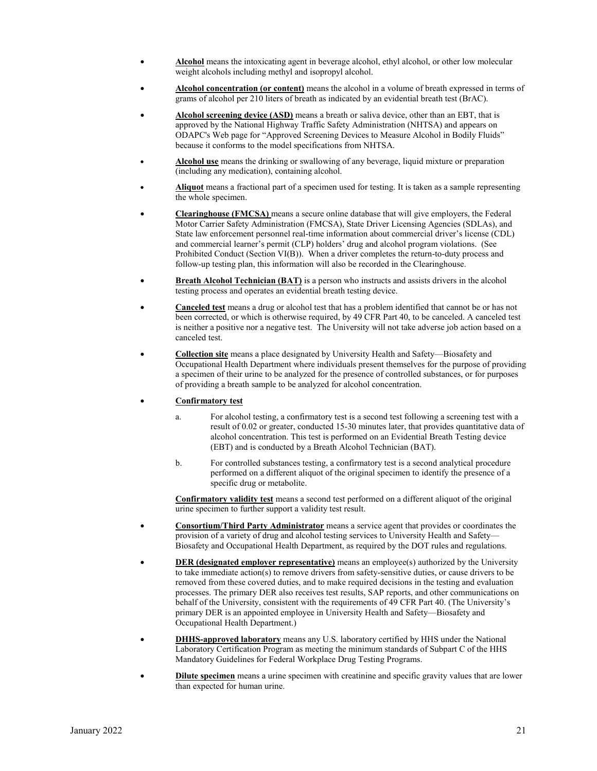- **Alcohol** means the intoxicating agent in beverage alcohol, ethyl alcohol, or other low molecular weight alcohols including methyl and isopropyl alcohol.
- **Alcohol concentration (or content)** means the alcohol in a volume of breath expressed in terms of grams of alcohol per 210 liters of breath as indicated by an evidential breath test (BrAC).
- **Alcohol screening device (ASD)** means a breath or saliva device, other than an EBT, that is approved by the National Highway Traffic Safety Administration (NHTSA) and appears on ODAPC's Web page for "Approved Screening Devices to Measure Alcohol in Bodily Fluids" because it conforms to the model specifications from NHTSA.
- **Alcohol use** means the drinking or swallowing of any beverage, liquid mixture or preparation (including any medication), containing alcohol.
- **Aliquot** means a fractional part of a specimen used for testing. It is taken as a sample representing the whole specimen.
- **Clearinghouse (FMCSA)** means a secure online database that will give employers, the Federal Motor Carrier Safety Administration (FMCSA), State Driver Licensing Agencies (SDLAs), and State law enforcement personnel real-time information about commercial driver's license (CDL) and commercial learner's permit (CLP) holders' drug and alcohol program violations. (See Prohibited Conduct (Section VI(B)). When a driver completes the return-to-duty process and follow-up testing plan, this information will also be recorded in the Clearinghouse.
- **Breath Alcohol Technician (BAT)** is a person who instructs and assists drivers in the alcohol testing process and operates an evidential breath testing device.
- **Canceled test** means a drug or alcohol test that has a problem identified that cannot be or has not been corrected, or which is otherwise required, by 49 CFR Part 40, to be canceled. A canceled test is neither a positive nor a negative test. The University will not take adverse job action based on a canceled test.
- **Collection site** means a place designated by University Health and Safety—Biosafety and Occupational Health Department where individuals present themselves for the purpose of providing a specimen of their urine to be analyzed for the presence of controlled substances, or for purposes of providing a breath sample to be analyzed for alcohol concentration.
- **Confirmatory test**
	- a. For alcohol testing, a confirmatory test is a second test following a screening test with a result of 0.02 or greater, conducted 15-30 minutes later, that provides quantitative data of alcohol concentration. This test is performed on an Evidential Breath Testing device (EBT) and is conducted by a Breath Alcohol Technician (BAT).
	- b. For controlled substances testing, a confirmatory test is a second analytical procedure performed on a different aliquot of the original specimen to identify the presence of a specific drug or metabolite.

**Confirmatory validity test** means a second test performed on a different aliquot of the original urine specimen to further support a validity test result.

- **Consortium/Third Party Administrator** means a service agent that provides or coordinates the provision of a variety of drug and alcohol testing services to University Health and Safety— Biosafety and Occupational Health Department, as required by the DOT rules and regulations.
- **DER (designated employer representative)** means an employee(s) authorized by the University to take immediate action(s) to remove drivers from safety-sensitive duties, or cause drivers to be removed from these covered duties, and to make required decisions in the testing and evaluation processes. The primary DER also receives test results, SAP reports, and other communications on behalf of the University, consistent with the requirements of 49 CFR Part 40. (The University's primary DER is an appointed employee in University Health and Safety—Biosafety and Occupational Health Department.)
- **DHHS-approved laboratory** means any U.S. laboratory certified by HHS under the National Laboratory Certification Program as meeting the minimum standards of Subpart C of the HHS Mandatory Guidelines for Federal Workplace Drug Testing Programs.
- **Dilute specimen** means a urine specimen with creatinine and specific gravity values that are lower than expected for human urine.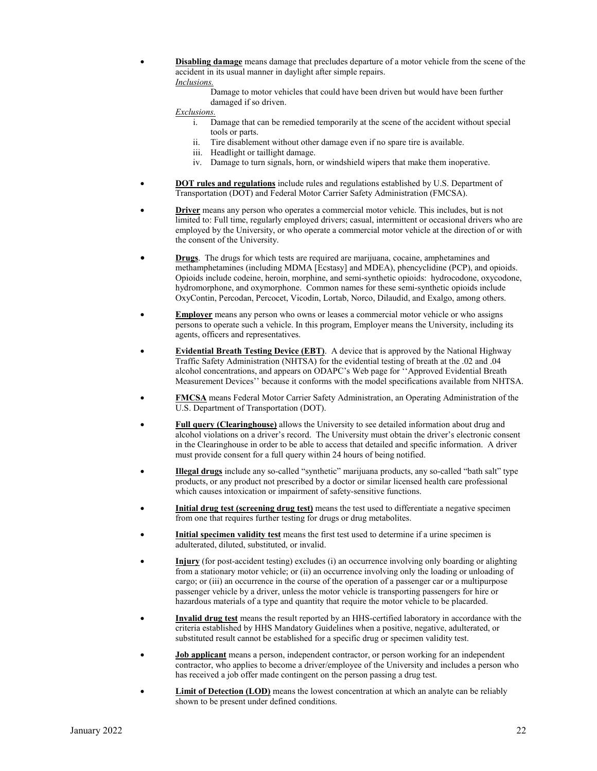• **Disabling damage** means damage that precludes departure of a motor vehicle from the scene of the accident in its usual manner in daylight after simple repairs. *Inclusions.*

> Damage to motor vehicles that could have been driven but would have been further damaged if so driven.

*Exclusions.*

- i. Damage that can be remedied temporarily at the scene of the accident without special tools or parts.
- ii. Tire disablement without other damage even if no spare tire is available.
- iii. Headlight or taillight damage.
- iv. Damage to turn signals, horn, or windshield wipers that make them inoperative.
- **DOT rules and regulations** include rules and regulations established by U.S. Department of Transportation (DOT) and Federal Motor Carrier Safety Administration (FMCSA).
- **Driver** means any person who operates a commercial motor vehicle. This includes, but is not limited to: Full time, regularly employed drivers; casual, intermittent or occasional drivers who are employed by the University, or who operate a commercial motor vehicle at the direction of or with the consent of the University.
- **Drugs**. The drugs for which tests are required are marijuana, cocaine, amphetamines and methamphetamines (including MDMA [Ecstasy] and MDEA), phencyclidine (PCP), and opioids. Opioids include codeine, heroin, morphine, and semi-synthetic opioids: hydrocodone, oxycodone, hydromorphone, and oxymorphone. Common names for these semi-synthetic opioids include OxyContin, Percodan, Percocet, Vicodin, Lortab, Norco, Dilaudid, and Exalgo, among others.
- **Employer** means any person who owns or leases a commercial motor vehicle or who assigns persons to operate such a vehicle. In this program, Employer means the University, including its agents, officers and representatives.
- **Evidential Breath Testing Device (EBT)**. A device that is approved by the National Highway Traffic Safety Administration (NHTSA) for the evidential testing of breath at the .02 and .04 alcohol concentrations, and appears on ODAPC's Web page for ''Approved Evidential Breath Measurement Devices'' because it conforms with the model specifications available from NHTSA.
- **FMCSA** means Federal Motor Carrier Safety Administration, an Operating Administration of the U.S. Department of Transportation (DOT).
- **Full query (Clearinghouse)** allows the University to see detailed information about drug and alcohol violations on a driver's record. The University must obtain the driver's electronic consent in the Clearinghouse in order to be able to access that detailed and specific information. A driver must provide consent for a full query within 24 hours of being notified.
- **Illegal drugs** include any so-called "synthetic" marijuana products, any so-called "bath salt" type products, or any product not prescribed by a doctor or similar licensed health care professional which causes intoxication or impairment of safety-sensitive functions.
- **Initial drug test (screening drug test)** means the test used to differentiate a negative specimen from one that requires further testing for drugs or drug metabolites.
- **Initial specimen validity test** means the first test used to determine if a urine specimen is adulterated, diluted, substituted, or invalid.
- **Injury** (for post-accident testing) excludes (i) an occurrence involving only boarding or alighting from a stationary motor vehicle; or (ii) an occurrence involving only the loading or unloading of cargo; or (iii) an occurrence in the course of the operation of a passenger car or a multipurpose passenger vehicle by a driver, unless the motor vehicle is transporting passengers for hire or hazardous materials of a type and quantity that require the motor vehicle to be placarded.
- **Invalid drug test** means the result reported by an HHS-certified laboratory in accordance with the criteria established by HHS Mandatory Guidelines when a positive, negative, adulterated, or substituted result cannot be established for a specific drug or specimen validity test.
- **Job applicant** means a person, independent contractor, or person working for an independent contractor, who applies to become a driver/employee of the University and includes a person who has received a job offer made contingent on the person passing a drug test.
- **Limit of Detection (LOD)** means the lowest concentration at which an analyte can be reliably shown to be present under defined conditions.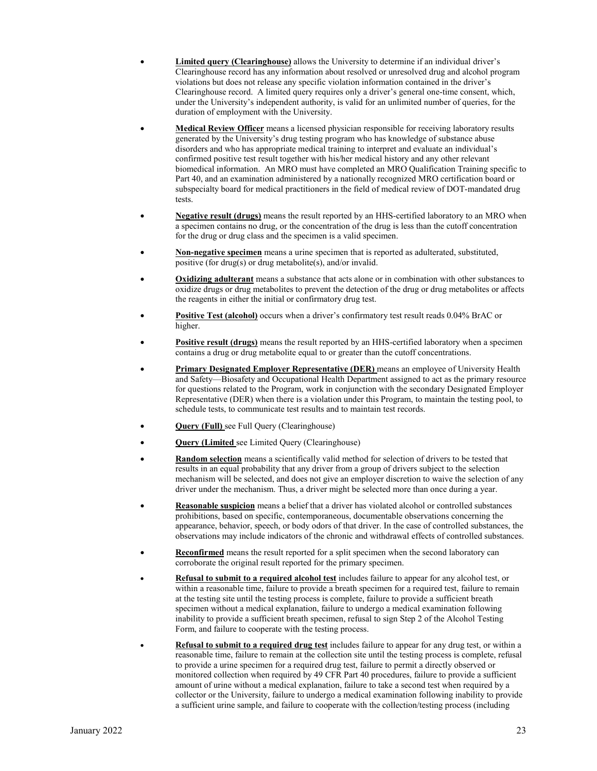- **Limited query (Clearinghouse)** allows the University to determine if an individual driver's Clearinghouse record has any information about resolved or unresolved drug and alcohol program violations but does not release any specific violation information contained in the driver's Clearinghouse record. A limited query requires only a driver's general one-time consent, which, under the University's independent authority, is valid for an unlimited number of queries, for the duration of employment with the University.
- **Medical Review Officer** means a licensed physician responsible for receiving laboratory results generated by the University's drug testing program who has knowledge of substance abuse disorders and who has appropriate medical training to interpret and evaluate an individual's confirmed positive test result together with his/her medical history and any other relevant biomedical information. An MRO must have completed an MRO Qualification Training specific to Part 40, and an examination administered by a nationally recognized MRO certification board or subspecialty board for medical practitioners in the field of medical review of DOT-mandated drug tests.
- **Negative result (drugs)** means the result reported by an HHS-certified laboratory to an MRO when a specimen contains no drug, or the concentration of the drug is less than the cutoff concentration for the drug or drug class and the specimen is a valid specimen.
- **Non-negative specimen** means a urine specimen that is reported as adulterated, substituted, positive (for drug(s) or drug metabolite(s), and/or invalid.
- **Oxidizing adulterant** means a substance that acts alone or in combination with other substances to oxidize drugs or drug metabolites to prevent the detection of the drug or drug metabolites or affects the reagents in either the initial or confirmatory drug test.
- **Positive Test (alcohol)** occurs when a driver's confirmatory test result reads 0.04% BrAC or higher.
- **Positive result (drugs)** means the result reported by an HHS-certified laboratory when a specimen contains a drug or drug metabolite equal to or greater than the cutoff concentrations.
- **Primary Designated Employer Representative (DER)** means an employee of University Health and Safety—Biosafety and Occupational Health Department assigned to act as the primary resource for questions related to the Program, work in conjunction with the secondary Designated Employer Representative (DER) when there is a violation under this Program, to maintain the testing pool, to schedule tests, to communicate test results and to maintain test records.
- **Query (Full)** see Full Query (Clearinghouse)
- **Query (Limited** see Limited Query (Clearinghouse)
- **Random selection** means a scientifically valid method for selection of drivers to be tested that results in an equal probability that any driver from a group of drivers subject to the selection mechanism will be selected, and does not give an employer discretion to waive the selection of any driver under the mechanism. Thus, a driver might be selected more than once during a year.
- **Reasonable suspicion** means a belief that a driver has violated alcohol or controlled substances prohibitions, based on specific, contemporaneous, documentable observations concerning the appearance, behavior, speech, or body odors of that driver. In the case of controlled substances, the observations may include indicators of the chronic and withdrawal effects of controlled substances.
- **Reconfirmed** means the result reported for a split specimen when the second laboratory can corroborate the original result reported for the primary specimen.
- **Refusal to submit to a required alcohol test** includes failure to appear for any alcohol test, or within a reasonable time, failure to provide a breath specimen for a required test, failure to remain at the testing site until the testing process is complete, failure to provide a sufficient breath specimen without a medical explanation, failure to undergo a medical examination following inability to provide a sufficient breath specimen, refusal to sign Step 2 of the Alcohol Testing Form, and failure to cooperate with the testing process.
- **Refusal to submit to a required drug test** includes failure to appear for any drug test, or within a reasonable time, failure to remain at the collection site until the testing process is complete, refusal to provide a urine specimen for a required drug test, failure to permit a directly observed or monitored collection when required by 49 CFR Part 40 procedures, failure to provide a sufficient amount of urine without a medical explanation, failure to take a second test when required by a collector or the University, failure to undergo a medical examination following inability to provide a sufficient urine sample, and failure to cooperate with the collection/testing process (including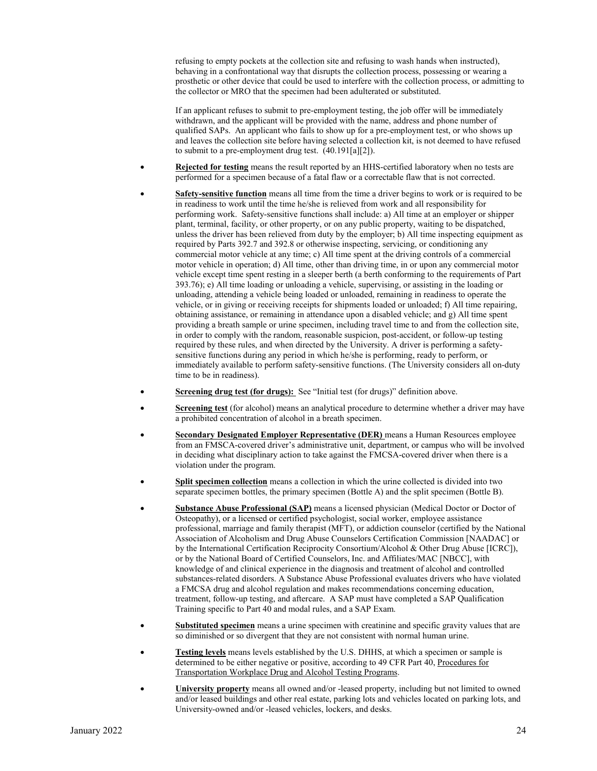refusing to empty pockets at the collection site and refusing to wash hands when instructed), behaving in a confrontational way that disrupts the collection process, possessing or wearing a prosthetic or other device that could be used to interfere with the collection process, or admitting to the collector or MRO that the specimen had been adulterated or substituted.

If an applicant refuses to submit to pre-employment testing, the job offer will be immediately withdrawn, and the applicant will be provided with the name, address and phone number of qualified SAPs. An applicant who fails to show up for a pre-employment test, or who shows up and leaves the collection site before having selected a collection kit, is not deemed to have refused to submit to a pre-employment drug test. (40.191[a][2]).

- **Rejected for testing** means the result reported by an HHS-certified laboratory when no tests are performed for a specimen because of a fatal flaw or a correctable flaw that is not corrected.
- **Safety-sensitive function** means all time from the time a driver begins to work or is required to be in readiness to work until the time he/she is relieved from work and all responsibility for performing work. Safety-sensitive functions shall include: a) All time at an employer or shipper plant, terminal, facility, or other property, or on any public property, waiting to be dispatched, unless the driver has been relieved from duty by the employer; b) All time inspecting equipment as required by Parts 392.7 and 392.8 or otherwise inspecting, servicing, or conditioning any commercial motor vehicle at any time; c) All time spent at the driving controls of a commercial motor vehicle in operation; d) All time, other than driving time, in or upon any commercial motor vehicle except time spent resting in a sleeper berth (a berth conforming to the requirements of Part 393.76); e) All time loading or unloading a vehicle, supervising, or assisting in the loading or unloading, attending a vehicle being loaded or unloaded, remaining in readiness to operate the vehicle, or in giving or receiving receipts for shipments loaded or unloaded; f) All time repairing, obtaining assistance, or remaining in attendance upon a disabled vehicle; and g) All time spent providing a breath sample or urine specimen, including travel time to and from the collection site, in order to comply with the random, reasonable suspicion, post-accident, or follow-up testing required by these rules, and when directed by the University. A driver is performing a safetysensitive functions during any period in which he/she is performing, ready to perform, or immediately available to perform safety-sensitive functions. (The University considers all on-duty time to be in readiness).
- **<u>Screening drug test (for drugs):**</u> See "Initial test (for drugs)" definition above.
- **Screening test** (for alcohol) means an analytical procedure to determine whether a driver may have a prohibited concentration of alcohol in a breath specimen.
- **Secondary Designated Employer Representative (DER)** means a Human Resources employee from an FMSCA-covered driver's administrative unit, department, or campus who will be involved in deciding what disciplinary action to take against the FMCSA-covered driver when there is a violation under the program.
- **Split specimen collection** means a collection in which the urine collected is divided into two separate specimen bottles, the primary specimen (Bottle A) and the split specimen (Bottle B).
- **Substance Abuse Professional (SAP)** means a licensed physician (Medical Doctor or Doctor of Osteopathy), or a licensed or certified psychologist, social worker, employee assistance professional, marriage and family therapist (MFT), or addiction counselor (certified by the National Association of Alcoholism and Drug Abuse Counselors Certification Commission [NAADAC] or by the International Certification Reciprocity Consortium/Alcohol & Other Drug Abuse [ICRC]), or by the National Board of Certified Counselors, Inc. and Affiliates/MAC [NBCC], with knowledge of and clinical experience in the diagnosis and treatment of alcohol and controlled substances-related disorders. A Substance Abuse Professional evaluates drivers who have violated a FMCSA drug and alcohol regulation and makes recommendations concerning education, treatment, follow-up testing, and aftercare. A SAP must have completed a SAP Qualification Training specific to Part 40 and modal rules, and a SAP Exam.
- **Substituted specimen** means a urine specimen with creatinine and specific gravity values that are so diminished or so divergent that they are not consistent with normal human urine.
- **Testing levels** means levels established by the U.S. DHHS, at which a specimen or sample is determined to be either negative or positive, according to 49 CFR Part 40, Procedures for Transportation Workplace Drug and Alcohol Testing Programs.
- **University property** means all owned and/or -leased property, including but not limited to owned and/or leased buildings and other real estate, parking lots and vehicles located on parking lots, and University-owned and/or -leased vehicles, lockers, and desks.